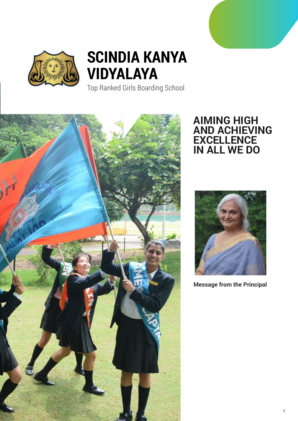



Top Ranked Girls Boarding School



### **AIMING HIGH AND ACHIEVING EXCELLENCE IN ALL WE DO**



**Message from the Principal**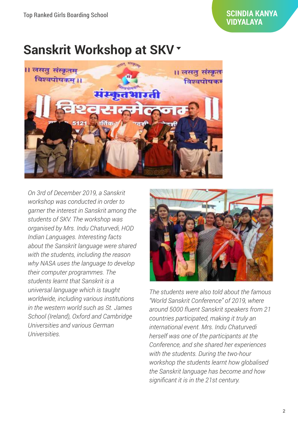# **Sanskrit Workshop at SKV**



*On 3rd of December 2019, a Sanskrit workshop was conducted in order to garner the interest in Sanskrit among the students of SKV. The workshop was organised by Mrs. Indu Chaturvedi, HOD Indian Languages. Interesting facts about the Sanskrit language were shared with the students, including the reason why NASA uses the language to develop their computer programmes. The students learnt that Sanskrit is a universal language which is taught worldwide, including various institutions in the western world such as St. James School (Ireland), Oxford and Cambridge Universities and various German Universities.*



*The students were also told about the famous "World Sanskrit Conference" of 2019, where around 5000 fluent Sanskrit speakers from 21 countries participated, making it truly an international event. Mrs. Indu Chaturvedi herself was one of the participants at the Conference, and she shared her experiences with the students. During the two-hour workshop the students learnt how globalised the Sanskrit language has become and how significant it is in the 21st century.*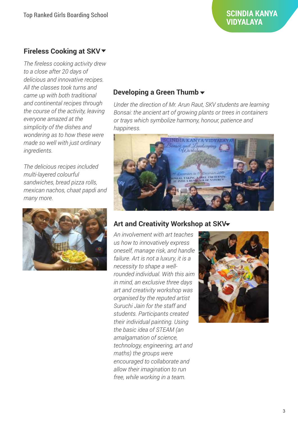### **Fireless Cooking at SKV**

*The fireless cooking activity drew to a close after 20 days of delicious and innovative recipes. All the classes took turns and came up with both traditional and continental recipes through the course of the activity, leaving everyone amazed at the simplicity of the dishes and wondering as to how these were made so well with just ordinary ingredients.* 

*The delicious recipes included multi-layered colourful sandwiches, bread pizza rolls, mexican nachos, chaat papdi and many more.*



### **Developing a Green Thumb**

*Under the direction of Mr. Arun Raut, SKV students are learning Bonsai: the ancient art of growing plants or trees in containers or trays which symbolize harmony, honour, patience and happiness.*



### **Art and Creativity Workshop at SKV**

*An involvement with art teaches us how to innovatively express oneself, manage risk, and handle failure. Art is not a luxury, it is a necessity to shape a wellrounded individual. With this aim in mind, an exclusive three days art and creativity workshop was organised by the reputed artist Suruchi Jain for the staff and students. Participants created their individual painting. Using the basic idea of STEAM (an amalgamation of science, technology, engineering, art and maths) the groups were encouraged to collaborate and allow their imagination to run free, while working in a team.*

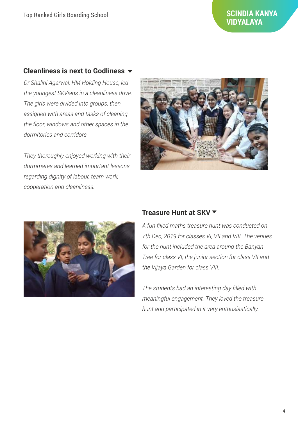#### **Cleanliness is next to Godliness**

*Dr Shalini Agarwal, HM Holding House, led the youngest SKVians in a cleanliness drive. The girls were divided into groups, then assigned with areas and tasks of cleaning the floor, windows and other spaces in the dormitories and corridors.* 

*They thoroughly enjoyed working with their dormmates and learned important lessons regarding dignity of labour, team work, cooperation and cleanliness.*





#### **Treasure Hunt at SKV**

*A fun filled maths treasure hunt was conducted on 7th Dec, 2019 for classes VI, VII and VIII. The venues for the hunt included the area around the Banyan Tree for class VI, the junior section for class VII and the Vijaya Garden for class VIII.* 

*The students had an interesting day filled with meaningful engagement. They loved the treasure hunt and participated in it very enthusiastically.*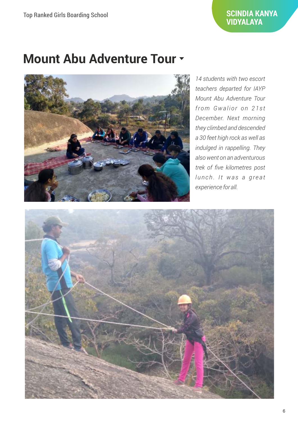# **Mount Abu Adventure Tour**



*14 students with two escort teachers departed for IAYP Mount Abu Adventure Tour from Gwa l i o r o n 2 1 s t December. Next morning they climbed and descended a 30 feet high rock as well as indulged in rappelling. They also went on an adventurous trek of five kilometres post l u n c h . It wa s a g r e a t experience for all.*

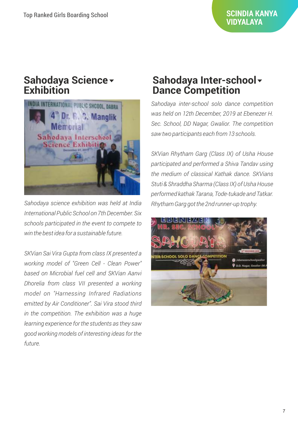### **Sahodaya Science Exhibition**



*Sahodaya science exhibition was held at India International Public School on 7th December. Six schools participated in the event to compete to win the best idea for a sustainable future.* 

*SKVian Sai Vira Gupta from class IX presented a working model of "Green Cell - Clean Power" based on Microbial fuel cell and SKVian Aanvi Dhorelia from class VII presented a working model on "Harnessing Infrared Radiations emitted by Air Conditioner". Sai Vira stood third in the competition. The exhibition was a huge learning experience for the students as they saw good working models of interesting ideas for the future.*

### **Sahodaya Inter-school Dance Competition**

*Sahodaya inter-school solo dance competition was held on 12th December, 2019 at Ebenezer H. Sec. School, DD Nagar, Gwalior. The competition saw two participants each from 13 schools.* 

*SKVian Rhytham Garg (Class IX) of Usha House participated and performed a Shiva Tandav using the medium of classical Kathak dance. SKVians Stuti & Shraddha Sharma (Class IX) of Usha House performed kathak Tarana, Tode-tukade and Tatkar. Rhytham Garg got the 2nd runner-up trophy.*

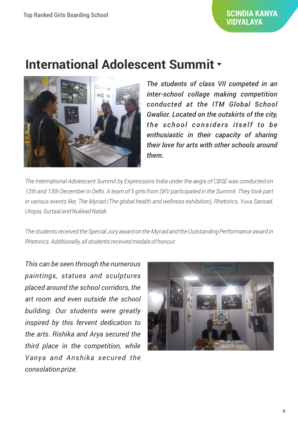# **International Adolescent Summit**



*The students of class VII competed in an inter-school collage making competition conducted at the ITM Global School Gwalior. Located on the outskirts of the city, the school considers itself to be enthusiastic in their capacity of sharing their love for arts with other schools around them.* 

*The International Adolescent Summit by Expressions India under the aegis of CBSE was conducted on 12th and 13th December in Delhi. A team of 5 girls from SKV participated in the Summit. They took part in various events like, The Myriad (The global health and wellness exhibition), Rhetorics, Yuva Sansad, Utopia, Surtaal and Nukkad Natak.* 

*The students received the Special Jury award on the Myriad and the Outstanding Performance award in Rhetorics. Additionally, all students received medals of honour.*

*This can be seen through the numerous paintings, statues and sculptures placed around the school corridors, the art room and even outside the school building. Our students were greatly inspired by this fervent dedication to the arts. Rishika and Arya secured the third place in the competition, while Vanya and Anshika secured the consolation prize.* 

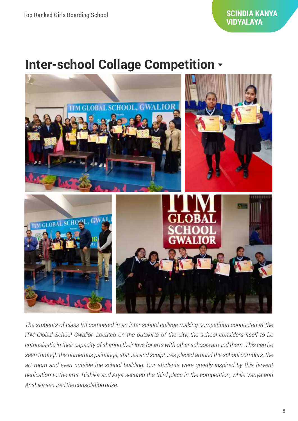## **Inter-school Collage Competition**



*The students of class VII competed in an inter-school collage making competition conducted at the ITM Global School Gwalior. Located on the outskirts of the city, the school considers itself to be enthusiastic in their capacity of sharing their love for arts with other schools around them. This can be seen through the numerous paintings, statues and sculptures placed around the school corridors, the art room and even outside the school building. Our students were greatly inspired by this fervent dedication to the arts. Rishika and Arya secured the third place in the competition, while Vanya and Anshika secured the consolation prize.*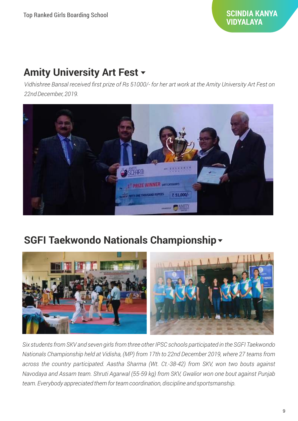### **Amity University Art Fest**

*Vidhishree Bansal received first prize of Rs 51000/- for her art work at the Amity University Art Fest on 22nd December, 2019.*



### **SGFI Taekwondo Nationals Championship**



*Six students from SKV and seven girls from three other IPSC schools participated in the SGFI Taekwondo Nationals Championship held at Vidisha, (MP) from 17th to 22nd December 2019, where 27 teams from across the country participated. Aastha Sharma (Wt. Ct.-38-42) from SKV, won two bouts against Navodaya and Assam team. Shruti Agarwal (55-59 kg) from SKV, Gwalior won one bout against Punjab team. Everybody appreciated them for team coordination, discipline and sportsmanship.*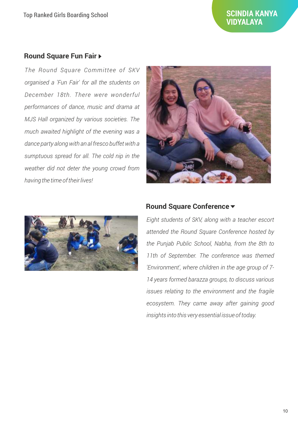#### **Round Square Fun Fair**

*The Round Square Committee of SKV organised a 'Fun Fair' for all the students on December 18th. There were wonderful performances of dance, music and drama at MJS Hall organized by various societies. The much awaited highlight of the evening was a dance party along with an al fresco buffet with a sumptuous spread for all. The cold nip in the weather did not deter the young crowd from having the time of their lives!*





#### **Round Square Conference**

*Eight students of SKV, along with a teacher escort attended the Round Square Conference hosted by the Punjab Public School, Nabha, from the 8th to 11th of September. The conference was themed 'Environment', where children in the age group of 7- 14 years formed barazza groups, to discuss various issues relating to the environment and the fragile ecosystem. They came away after gaining good insights into this very essential issue of today.*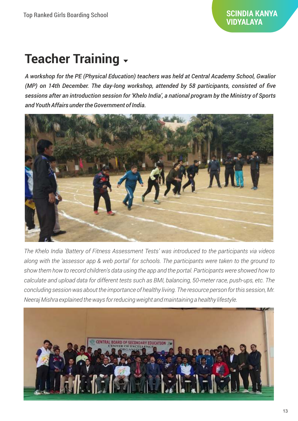# **Teacher Training**

*A workshop for the PE (Physical Education) teachers was held at Central Academy School, Gwalior (MP) on 14th December. The day-long workshop, attended by 58 participants, consisted of five sessions after an introduction session for 'Khelo India', a national program by the Ministry of Sports and Youth Affairs under the Government of India.* 



*The Khelo India 'Battery of Fitness Assessment Tests' was introduced to the participants via videos along with the 'assessor app & web portal' for schools. The participants were taken to the ground to show them how to record children's data using the app and the portal. Participants were showed how to calculate and upload data for different tests such as BMI, balancing, 50-meter race, push-ups, etc. The concluding session was about the importance of healthy living. The resource person for this session, Mr. Neeraj Mishra explained the ways for reducing weight and maintaining a healthy lifestyle.*

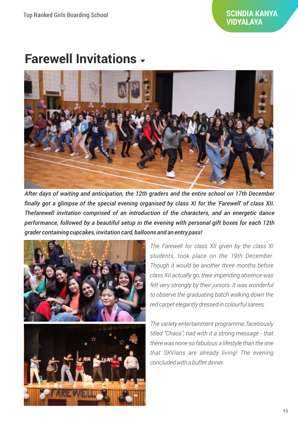# **Farewell Invitations**



*After days of waiting and anticipation, the 12th graders and the entire school on 17th December finally got a glimpse of the special evening organised by class XI for the 'Farewell' of class XII. Thefarewell invitation comprised of an introduction of the characters, and an energetic dance performance, followed by a beautiful setup in the evening with personal gift boxes for each 12th grader containing cupcakes, invitation card, balloons and an entry pass!*



*The Farewell for class XII given by the class XI students, took place on the 19th December. Though it would be another three months before class XII actually go, their impending absence was felt very strongly by their juniors. It was wonderful to observe the graduating batch walking down the red carpet elegantly dressed in colourful sarees.* 

*The variety entertainment programme, facetiously titled "Chaos", had with it a strong message - that there was none so fabulous a lifestyle than the one that SKVians are already living! The evening concluded with a buffet dinner.*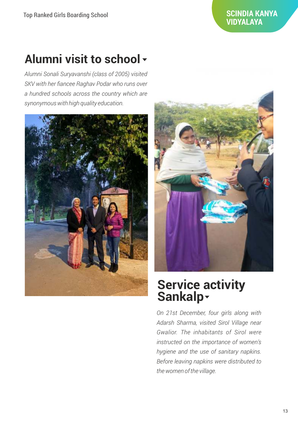# **Alumni visit to school**

*Alumni Sonali Suryavanshi (class of 2005) visited SKV with her fiancee Raghav Podar who runs over a hundred schools across the country which are synonymous with high quality education.*





### **Service activity Sankalp**

*On 21st December, four girls along with Adarsh Sharma, visited Sirol Village near Gwalior. The inhabitants of Sirol were instructed on the importance of women's hygiene and the use of sanitary napkins. Before leaving napkins were distributed to the women of the village.*